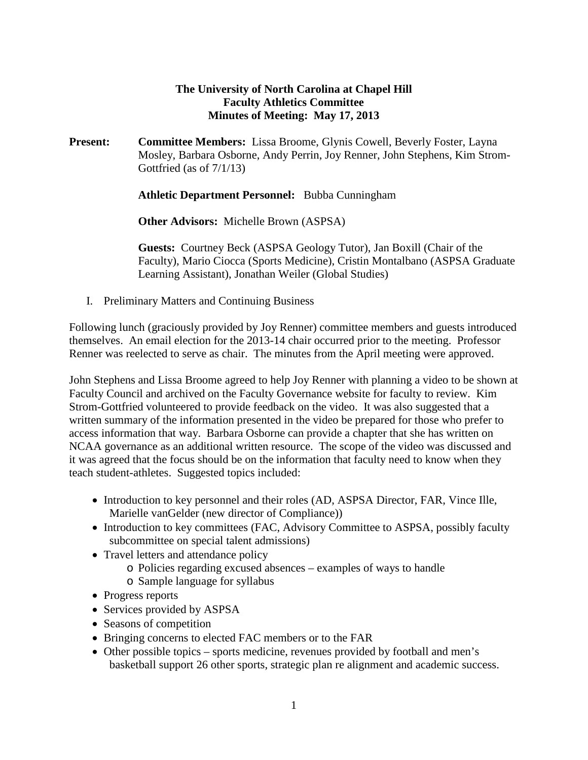### **The University of North Carolina at Chapel Hill Faculty Athletics Committee Minutes of Meeting: May 17, 2013**

**Present: Committee Members:** Lissa Broome, Glynis Cowell, Beverly Foster, Layna Mosley, Barbara Osborne, Andy Perrin, Joy Renner, John Stephens, Kim Strom-Gottfried (as of 7/1/13)

**Athletic Department Personnel:** Bubba Cunningham

**Other Advisors:** Michelle Brown (ASPSA)

**Guests:** Courtney Beck (ASPSA Geology Tutor), Jan Boxill (Chair of the Faculty), Mario Ciocca (Sports Medicine), Cristin Montalbano (ASPSA Graduate Learning Assistant), Jonathan Weiler (Global Studies)

I. Preliminary Matters and Continuing Business

Following lunch (graciously provided by Joy Renner) committee members and guests introduced themselves. An email election for the 2013-14 chair occurred prior to the meeting. Professor Renner was reelected to serve as chair. The minutes from the April meeting were approved.

John Stephens and Lissa Broome agreed to help Joy Renner with planning a video to be shown at Faculty Council and archived on the Faculty Governance website for faculty to review. Kim Strom-Gottfried volunteered to provide feedback on the video. It was also suggested that a written summary of the information presented in the video be prepared for those who prefer to access information that way. Barbara Osborne can provide a chapter that she has written on NCAA governance as an additional written resource. The scope of the video was discussed and it was agreed that the focus should be on the information that faculty need to know when they teach student-athletes. Suggested topics included:

- Introduction to key personnel and their roles (AD, ASPSA Director, FAR, Vince Ille, Marielle vanGelder (new director of Compliance))
- Introduction to key committees (FAC, Advisory Committee to ASPSA, possibly faculty subcommittee on special talent admissions)
- Travel letters and attendance policy
	- o Policies regarding excused absences examples of ways to handle
	- o Sample language for syllabus
- Progress reports
- Services provided by ASPSA
- Seasons of competition
- Bringing concerns to elected FAC members or to the FAR
- Other possible topics sports medicine, revenues provided by football and men's basketball support 26 other sports, strategic plan re alignment and academic success.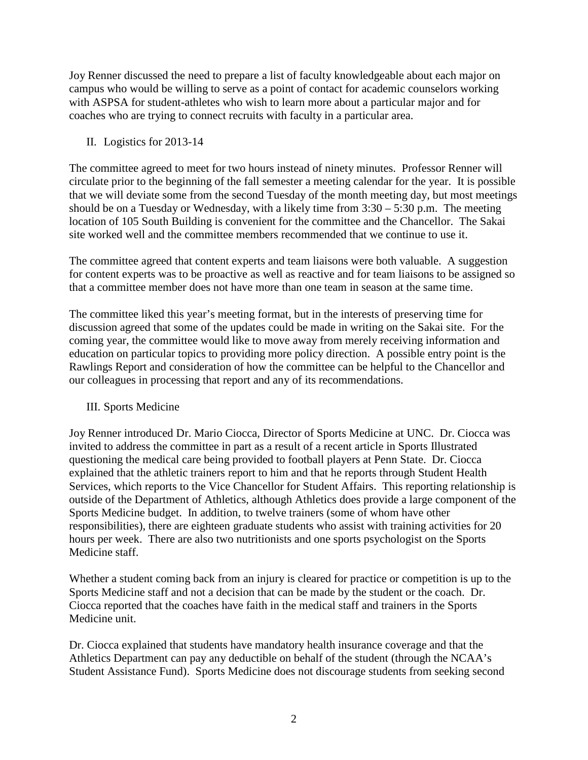Joy Renner discussed the need to prepare a list of faculty knowledgeable about each major on campus who would be willing to serve as a point of contact for academic counselors working with ASPSA for student-athletes who wish to learn more about a particular major and for coaches who are trying to connect recruits with faculty in a particular area.

### II. Logistics for 2013-14

The committee agreed to meet for two hours instead of ninety minutes. Professor Renner will circulate prior to the beginning of the fall semester a meeting calendar for the year. It is possible that we will deviate some from the second Tuesday of the month meeting day, but most meetings should be on a Tuesday or Wednesday, with a likely time from  $3:30 - 5:30$  p.m. The meeting location of 105 South Building is convenient for the committee and the Chancellor. The Sakai site worked well and the committee members recommended that we continue to use it.

The committee agreed that content experts and team liaisons were both valuable. A suggestion for content experts was to be proactive as well as reactive and for team liaisons to be assigned so that a committee member does not have more than one team in season at the same time.

The committee liked this year's meeting format, but in the interests of preserving time for discussion agreed that some of the updates could be made in writing on the Sakai site. For the coming year, the committee would like to move away from merely receiving information and education on particular topics to providing more policy direction. A possible entry point is the Rawlings Report and consideration of how the committee can be helpful to the Chancellor and our colleagues in processing that report and any of its recommendations.

### III. Sports Medicine

Joy Renner introduced Dr. Mario Ciocca, Director of Sports Medicine at UNC. Dr. Ciocca was invited to address the committee in part as a result of a recent article in Sports Illustrated questioning the medical care being provided to football players at Penn State. Dr. Ciocca explained that the athletic trainers report to him and that he reports through Student Health Services, which reports to the Vice Chancellor for Student Affairs. This reporting relationship is outside of the Department of Athletics, although Athletics does provide a large component of the Sports Medicine budget. In addition, to twelve trainers (some of whom have other responsibilities), there are eighteen graduate students who assist with training activities for 20 hours per week. There are also two nutritionists and one sports psychologist on the Sports Medicine staff.

Whether a student coming back from an injury is cleared for practice or competition is up to the Sports Medicine staff and not a decision that can be made by the student or the coach. Dr. Ciocca reported that the coaches have faith in the medical staff and trainers in the Sports Medicine unit.

Dr. Ciocca explained that students have mandatory health insurance coverage and that the Athletics Department can pay any deductible on behalf of the student (through the NCAA's Student Assistance Fund). Sports Medicine does not discourage students from seeking second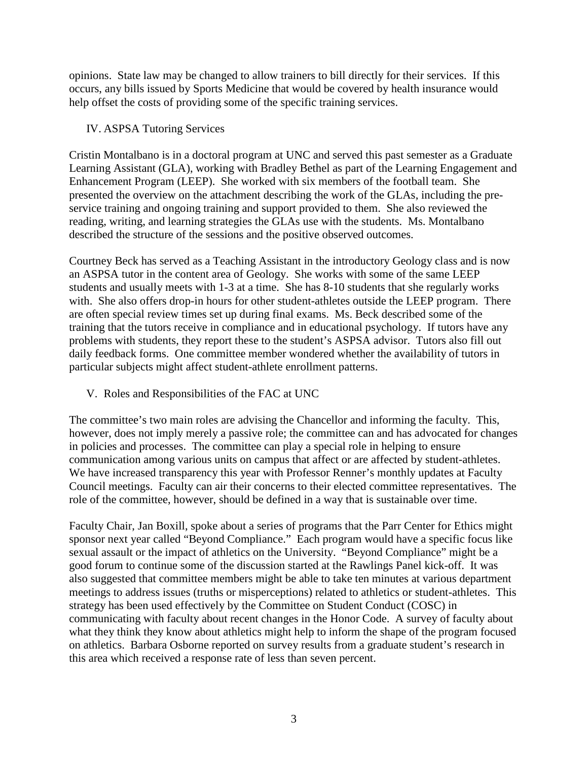opinions. State law may be changed to allow trainers to bill directly for their services. If this occurs, any bills issued by Sports Medicine that would be covered by health insurance would help offset the costs of providing some of the specific training services.

### IV. ASPSA Tutoring Services

Cristin Montalbano is in a doctoral program at UNC and served this past semester as a Graduate Learning Assistant (GLA), working with Bradley Bethel as part of the Learning Engagement and Enhancement Program (LEEP). She worked with six members of the football team. She presented the overview on the attachment describing the work of the GLAs, including the preservice training and ongoing training and support provided to them. She also reviewed the reading, writing, and learning strategies the GLAs use with the students. Ms. Montalbano described the structure of the sessions and the positive observed outcomes.

Courtney Beck has served as a Teaching Assistant in the introductory Geology class and is now an ASPSA tutor in the content area of Geology. She works with some of the same LEEP students and usually meets with 1-3 at a time. She has 8-10 students that she regularly works with. She also offers drop-in hours for other student-athletes outside the LEEP program. There are often special review times set up during final exams. Ms. Beck described some of the training that the tutors receive in compliance and in educational psychology. If tutors have any problems with students, they report these to the student's ASPSA advisor. Tutors also fill out daily feedback forms. One committee member wondered whether the availability of tutors in particular subjects might affect student-athlete enrollment patterns.

V. Roles and Responsibilities of the FAC at UNC

The committee's two main roles are advising the Chancellor and informing the faculty. This, however, does not imply merely a passive role; the committee can and has advocated for changes in policies and processes. The committee can play a special role in helping to ensure communication among various units on campus that affect or are affected by student-athletes. We have increased transparency this year with Professor Renner's monthly updates at Faculty Council meetings. Faculty can air their concerns to their elected committee representatives. The role of the committee, however, should be defined in a way that is sustainable over time.

Faculty Chair, Jan Boxill, spoke about a series of programs that the Parr Center for Ethics might sponsor next year called "Beyond Compliance." Each program would have a specific focus like sexual assault or the impact of athletics on the University. "Beyond Compliance" might be a good forum to continue some of the discussion started at the Rawlings Panel kick-off. It was also suggested that committee members might be able to take ten minutes at various department meetings to address issues (truths or misperceptions) related to athletics or student-athletes. This strategy has been used effectively by the Committee on Student Conduct (COSC) in communicating with faculty about recent changes in the Honor Code. A survey of faculty about what they think they know about athletics might help to inform the shape of the program focused on athletics. Barbara Osborne reported on survey results from a graduate student's research in this area which received a response rate of less than seven percent.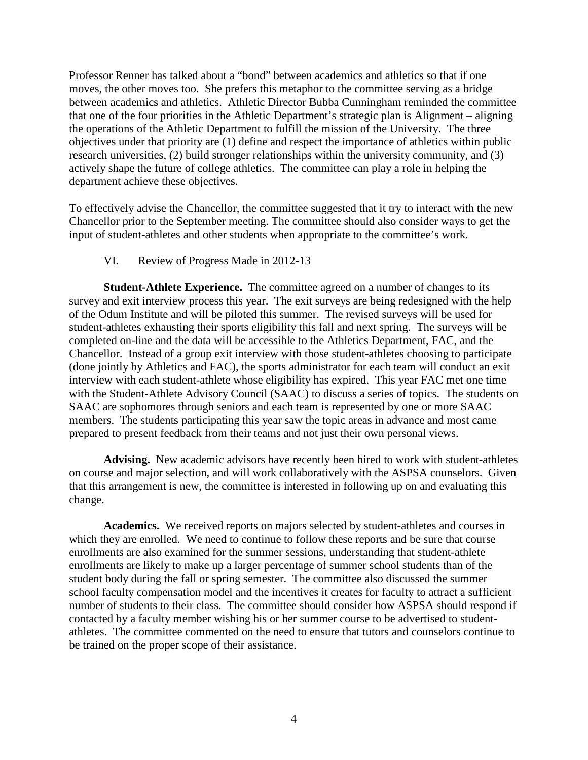Professor Renner has talked about a "bond" between academics and athletics so that if one moves, the other moves too. She prefers this metaphor to the committee serving as a bridge between academics and athletics. Athletic Director Bubba Cunningham reminded the committee that one of the four priorities in the Athletic Department's strategic plan is Alignment – aligning the operations of the Athletic Department to fulfill the mission of the University. The three objectives under that priority are (1) define and respect the importance of athletics within public research universities, (2) build stronger relationships within the university community, and (3) actively shape the future of college athletics. The committee can play a role in helping the department achieve these objectives.

To effectively advise the Chancellor, the committee suggested that it try to interact with the new Chancellor prior to the September meeting. The committee should also consider ways to get the input of student-athletes and other students when appropriate to the committee's work.

### VI. Review of Progress Made in 2012-13

**Student-Athlete Experience.** The committee agreed on a number of changes to its survey and exit interview process this year. The exit surveys are being redesigned with the help of the Odum Institute and will be piloted this summer. The revised surveys will be used for student-athletes exhausting their sports eligibility this fall and next spring. The surveys will be completed on-line and the data will be accessible to the Athletics Department, FAC, and the Chancellor. Instead of a group exit interview with those student-athletes choosing to participate (done jointly by Athletics and FAC), the sports administrator for each team will conduct an exit interview with each student-athlete whose eligibility has expired. This year FAC met one time with the Student-Athlete Advisory Council (SAAC) to discuss a series of topics. The students on SAAC are sophomores through seniors and each team is represented by one or more SAAC members. The students participating this year saw the topic areas in advance and most came prepared to present feedback from their teams and not just their own personal views.

**Advising.** New academic advisors have recently been hired to work with student-athletes on course and major selection, and will work collaboratively with the ASPSA counselors. Given that this arrangement is new, the committee is interested in following up on and evaluating this change.

**Academics.** We received reports on majors selected by student-athletes and courses in which they are enrolled. We need to continue to follow these reports and be sure that course enrollments are also examined for the summer sessions, understanding that student-athlete enrollments are likely to make up a larger percentage of summer school students than of the student body during the fall or spring semester. The committee also discussed the summer school faculty compensation model and the incentives it creates for faculty to attract a sufficient number of students to their class. The committee should consider how ASPSA should respond if contacted by a faculty member wishing his or her summer course to be advertised to studentathletes. The committee commented on the need to ensure that tutors and counselors continue to be trained on the proper scope of their assistance.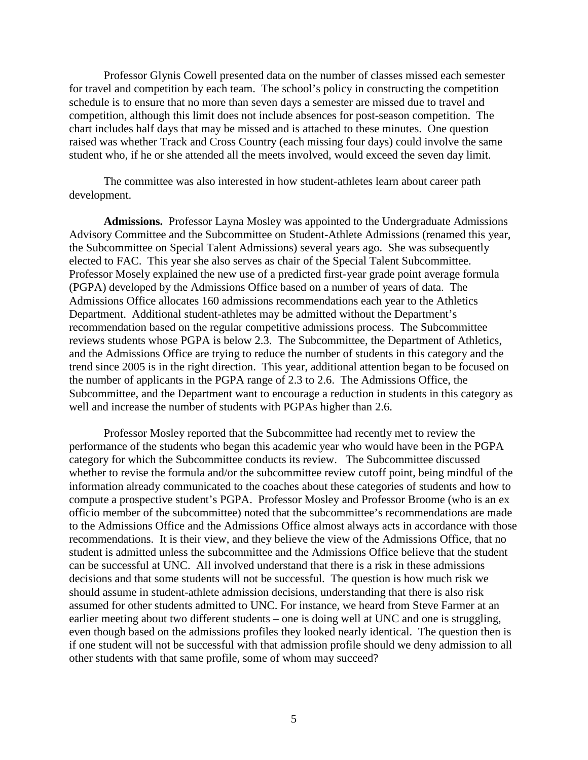Professor Glynis Cowell presented data on the number of classes missed each semester for travel and competition by each team. The school's policy in constructing the competition schedule is to ensure that no more than seven days a semester are missed due to travel and competition, although this limit does not include absences for post-season competition. The chart includes half days that may be missed and is attached to these minutes. One question raised was whether Track and Cross Country (each missing four days) could involve the same student who, if he or she attended all the meets involved, would exceed the seven day limit.

The committee was also interested in how student-athletes learn about career path development.

**Admissions.** Professor Layna Mosley was appointed to the Undergraduate Admissions Advisory Committee and the Subcommittee on Student-Athlete Admissions (renamed this year, the Subcommittee on Special Talent Admissions) several years ago. She was subsequently elected to FAC. This year she also serves as chair of the Special Talent Subcommittee. Professor Mosely explained the new use of a predicted first-year grade point average formula (PGPA) developed by the Admissions Office based on a number of years of data. The Admissions Office allocates 160 admissions recommendations each year to the Athletics Department. Additional student-athletes may be admitted without the Department's recommendation based on the regular competitive admissions process. The Subcommittee reviews students whose PGPA is below 2.3. The Subcommittee, the Department of Athletics, and the Admissions Office are trying to reduce the number of students in this category and the trend since 2005 is in the right direction. This year, additional attention began to be focused on the number of applicants in the PGPA range of 2.3 to 2.6. The Admissions Office, the Subcommittee, and the Department want to encourage a reduction in students in this category as well and increase the number of students with PGPAs higher than 2.6.

Professor Mosley reported that the Subcommittee had recently met to review the performance of the students who began this academic year who would have been in the PGPA category for which the Subcommittee conducts its review. The Subcommittee discussed whether to revise the formula and/or the subcommittee review cutoff point, being mindful of the information already communicated to the coaches about these categories of students and how to compute a prospective student's PGPA. Professor Mosley and Professor Broome (who is an ex officio member of the subcommittee) noted that the subcommittee's recommendations are made to the Admissions Office and the Admissions Office almost always acts in accordance with those recommendations. It is their view, and they believe the view of the Admissions Office, that no student is admitted unless the subcommittee and the Admissions Office believe that the student can be successful at UNC. All involved understand that there is a risk in these admissions decisions and that some students will not be successful. The question is how much risk we should assume in student-athlete admission decisions, understanding that there is also risk assumed for other students admitted to UNC. For instance, we heard from Steve Farmer at an earlier meeting about two different students – one is doing well at UNC and one is struggling, even though based on the admissions profiles they looked nearly identical. The question then is if one student will not be successful with that admission profile should we deny admission to all other students with that same profile, some of whom may succeed?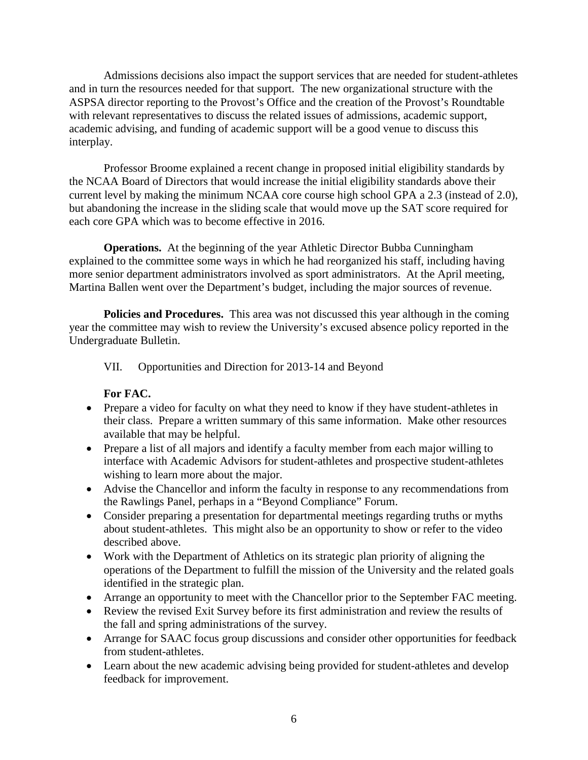Admissions decisions also impact the support services that are needed for student-athletes and in turn the resources needed for that support. The new organizational structure with the ASPSA director reporting to the Provost's Office and the creation of the Provost's Roundtable with relevant representatives to discuss the related issues of admissions, academic support, academic advising, and funding of academic support will be a good venue to discuss this interplay.

Professor Broome explained a recent change in proposed initial eligibility standards by the NCAA Board of Directors that would increase the initial eligibility standards above their current level by making the minimum NCAA core course high school GPA a 2.3 (instead of 2.0), but abandoning the increase in the sliding scale that would move up the SAT score required for each core GPA which was to become effective in 2016.

**Operations.** At the beginning of the year Athletic Director Bubba Cunningham explained to the committee some ways in which he had reorganized his staff, including having more senior department administrators involved as sport administrators. At the April meeting, Martina Ballen went over the Department's budget, including the major sources of revenue.

**Policies and Procedures.** This area was not discussed this year although in the coming year the committee may wish to review the University's excused absence policy reported in the Undergraduate Bulletin.

VII. Opportunities and Direction for 2013-14 and Beyond

### **For FAC.**

- Prepare a video for faculty on what they need to know if they have student-athletes in their class. Prepare a written summary of this same information. Make other resources available that may be helpful.
- Prepare a list of all majors and identify a faculty member from each major willing to interface with Academic Advisors for student-athletes and prospective student-athletes wishing to learn more about the major.
- Advise the Chancellor and inform the faculty in response to any recommendations from the Rawlings Panel, perhaps in a "Beyond Compliance" Forum.
- Consider preparing a presentation for departmental meetings regarding truths or myths about student-athletes. This might also be an opportunity to show or refer to the video described above.
- Work with the Department of Athletics on its strategic plan priority of aligning the operations of the Department to fulfill the mission of the University and the related goals identified in the strategic plan.
- Arrange an opportunity to meet with the Chancellor prior to the September FAC meeting.
- Review the revised Exit Survey before its first administration and review the results of the fall and spring administrations of the survey.
- Arrange for SAAC focus group discussions and consider other opportunities for feedback from student-athletes.
- Learn about the new academic advising being provided for student-athletes and develop feedback for improvement.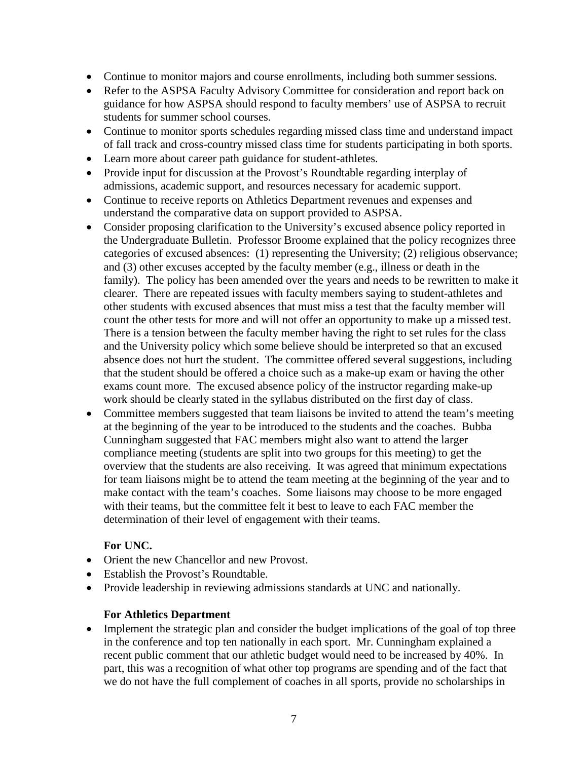- Continue to monitor majors and course enrollments, including both summer sessions.
- Refer to the ASPSA Faculty Advisory Committee for consideration and report back on guidance for how ASPSA should respond to faculty members' use of ASPSA to recruit students for summer school courses.
- Continue to monitor sports schedules regarding missed class time and understand impact of fall track and cross-country missed class time for students participating in both sports.
- Learn more about career path guidance for student-athletes.
- Provide input for discussion at the Provost's Roundtable regarding interplay of admissions, academic support, and resources necessary for academic support.
- Continue to receive reports on Athletics Department revenues and expenses and understand the comparative data on support provided to ASPSA.
- Consider proposing clarification to the University's excused absence policy reported in the Undergraduate Bulletin. Professor Broome explained that the policy recognizes three categories of excused absences: (1) representing the University; (2) religious observance; and (3) other excuses accepted by the faculty member (e.g., illness or death in the family). The policy has been amended over the years and needs to be rewritten to make it clearer. There are repeated issues with faculty members saying to student-athletes and other students with excused absences that must miss a test that the faculty member will count the other tests for more and will not offer an opportunity to make up a missed test. There is a tension between the faculty member having the right to set rules for the class and the University policy which some believe should be interpreted so that an excused absence does not hurt the student. The committee offered several suggestions, including that the student should be offered a choice such as a make-up exam or having the other exams count more. The excused absence policy of the instructor regarding make-up work should be clearly stated in the syllabus distributed on the first day of class.
- Committee members suggested that team liaisons be invited to attend the team's meeting at the beginning of the year to be introduced to the students and the coaches. Bubba Cunningham suggested that FAC members might also want to attend the larger compliance meeting (students are split into two groups for this meeting) to get the overview that the students are also receiving. It was agreed that minimum expectations for team liaisons might be to attend the team meeting at the beginning of the year and to make contact with the team's coaches. Some liaisons may choose to be more engaged with their teams, but the committee felt it best to leave to each FAC member the determination of their level of engagement with their teams.

### **For UNC.**

- Orient the new Chancellor and new Provost.
- Establish the Provost's Roundtable.
- Provide leadership in reviewing admissions standards at UNC and nationally.

### **For Athletics Department**

• Implement the strategic plan and consider the budget implications of the goal of top three in the conference and top ten nationally in each sport. Mr. Cunningham explained a recent public comment that our athletic budget would need to be increased by 40%. In part, this was a recognition of what other top programs are spending and of the fact that we do not have the full complement of coaches in all sports, provide no scholarships in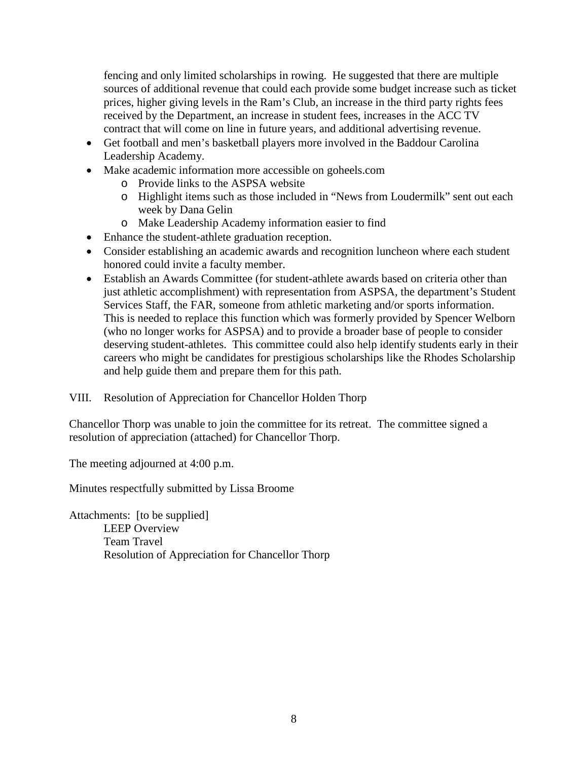fencing and only limited scholarships in rowing. He suggested that there are multiple sources of additional revenue that could each provide some budget increase such as ticket prices, higher giving levels in the Ram's Club, an increase in the third party rights fees received by the Department, an increase in student fees, increases in the ACC TV contract that will come on line in future years, and additional advertising revenue.

- Get football and men's basketball players more involved in the Baddour Carolina Leadership Academy.
- Make academic information more accessible on goheels.com
	- o Provide links to the ASPSA website
	- o Highlight items such as those included in "News from Loudermilk" sent out each week by Dana Gelin
	- o Make Leadership Academy information easier to find
- Enhance the student-athlete graduation reception.
- Consider establishing an academic awards and recognition luncheon where each student honored could invite a faculty member.
- Establish an Awards Committee (for student-athlete awards based on criteria other than just athletic accomplishment) with representation from ASPSA, the department's Student Services Staff, the FAR, someone from athletic marketing and/or sports information. This is needed to replace this function which was formerly provided by Spencer Welborn (who no longer works for ASPSA) and to provide a broader base of people to consider deserving student-athletes. This committee could also help identify students early in their careers who might be candidates for prestigious scholarships like the Rhodes Scholarship and help guide them and prepare them for this path.

VIII. Resolution of Appreciation for Chancellor Holden Thorp

Chancellor Thorp was unable to join the committee for its retreat. The committee signed a resolution of appreciation (attached) for Chancellor Thorp.

The meeting adjourned at 4:00 p.m.

Minutes respectfully submitted by Lissa Broome

Attachments: [to be supplied] LEEP Overview Team Travel Resolution of Appreciation for Chancellor Thorp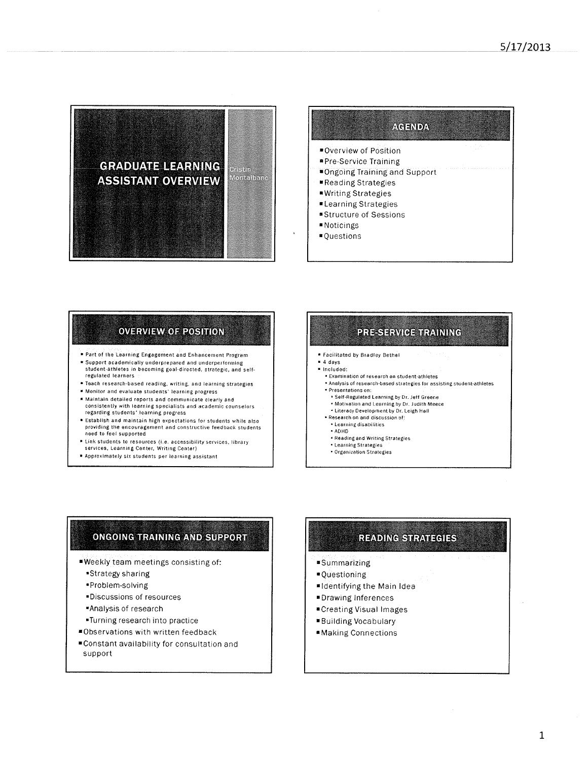



## **OVERVIEW OF POSITION**

- Part of the Learning Engagement and Enhancement Program
- \* Support academically underprepared and underperforming student-athletes in becoming goal-directed, strategic, and self-
- regulated learners · Teach research-based reading, writing, and learning strategies
- \* Monitor and evaluate students' learning progress
- \* Maintain detailed reports and communicate clearly and
- consistently with learning specialists and academic counselors regarding students' learning progress
- \* Establish and maintain high expectations for students while also providing the encouragement and constructive feedback students<br>need to feel supported
- Link students to resources (i.e. accessibility services, library services, Learning Center, Writing Center)
- \* Approximately six students per learning assistant

# PRE-SERVICE TRAINING

- **\* Facilitated by Bradley Bethel**
- $4$  days
- · Included: . Examination of research on student-athletes
- \* Analysis of research-based strategies for assisting student-athletes · Presentations on:
- 
- \* Self-Regulated Learning by Dr. Jeff Greene . Motivation and Learning by Dr. Judith Meece
- . Literacy Development by Dr. Leigh Hall
- \* Research on and discussion of:
- Learning disabilities
- + ADHD
- \* Reading and Writing Strategies
- · Learning Strategies Organization Strategies
- 

## ONGOING TRAINING AND SUPPORT

- Weekly team meetings consisting of:
	- \*Strategy sharing
	- \*Problem-solving
	- \*Discussions of resources
	- \*Analysis of research
	- \*Turning research into practice
- \*Observations with written feedback
- Constant availability for consultation and support

# **READING STRATEGIES**

- ■Summarizing
- **\*Questioning**
- ■Identifying the Main Idea
- **\*Drawing Inferences**
- ■Creating Visual Images
- **Building Vocabulary**
- **Making Connections**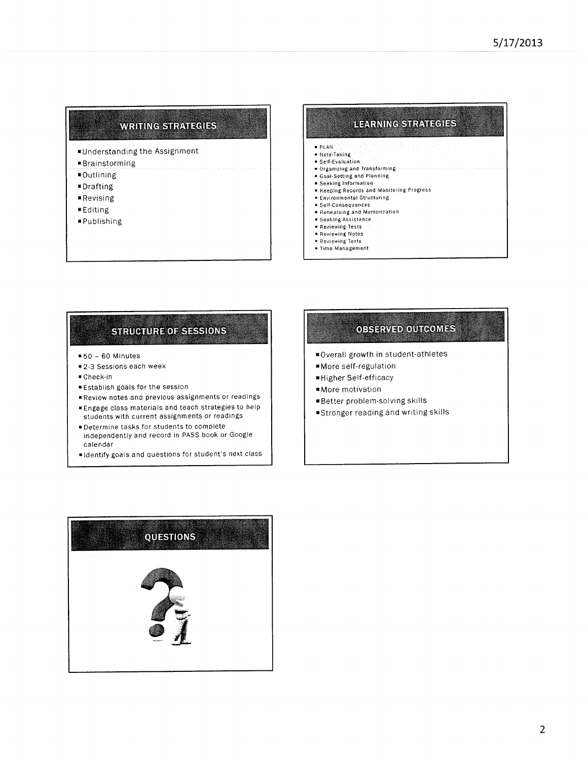### **WRITING STRATEGIES**

- Understanding the Assignment
- **Brainstorming**
- **\*Outlining**
- **■Drafting**
- **Revising**
- ■Editing
- **FPublishing**

#### **LEARNING STRATEGIES PLAN** \* Note-Taking · Self-Evaluation Organizing and Transforming **E** Goal-Setting and Planning Seeking Information Reeping Records and Monitoring Progress **\* Environmental Structuring** \* Self-Consequences Rehearsing and Memorization  $\bullet$  Seeking Assistance Reviewing Tests Reviewing Notes Reviewing Texts

- Fime Management
- 

# **STRUCTURE OF SESSIONS**

- $$50 60$  Minutes
- #2-3 Sessions each week
- Check-in
- **Establish goals for the session**
- Review notes and previous assignments or readings
- Engage class materials and teach strategies to help students with current assignments or readings
- · Determine tasks for students to complete independently and record in PASS book or Google
- calendar
- dentify goals and questions for student's next class

# **OBSERVED OUTCOMES**

- ■Overall growth in student-athletes
- More self-regulation
- Higher Self-efficacy
- **More** motivation
- Better problem-solving skills
- \*Stronger reading and writing skills

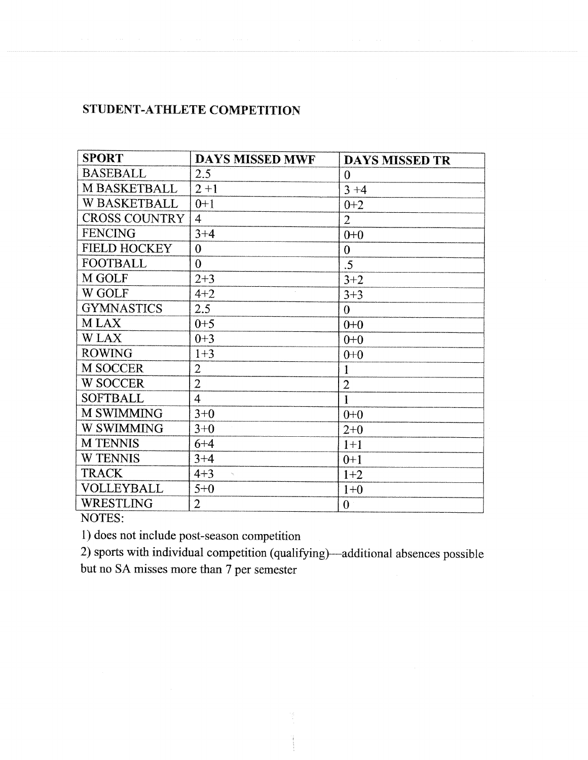### STUDENT-ATHLETE COMPETITION

| <b>SPORT</b>         | <b>DAYS MISSED MWF</b>              | <b>DAYS MISSED TR</b> |
|----------------------|-------------------------------------|-----------------------|
| <b>BASEBALL</b>      | $2.5^{\circ}$                       | $\Omega$              |
| M BASKETBALL         | $2 + 1$                             | $3 + 4$               |
| <b>W BASKETBALL</b>  | $0 + 1$                             | $0+2$                 |
| <b>CROSS COUNTRY</b> | $\overline{4}$                      | $\overline{2}$        |
| FENCING              | $3 + 4$                             | $0+0$                 |
| <b>FIELD HOCKEY</b>  | $\overline{0}$                      | $\boldsymbol{0}$      |
| <b>FOOTBALL</b>      | 0                                   | .5                    |
| M GOLF               | $2 + 3$                             | $3 + 2$               |
| W GOLF               | $4 + 2$                             | $3 + 3$               |
| <b>GYMNASTICS</b>    | 2.5                                 | $\theta$              |
| <b>MLAX</b>          | $0 + 5$                             | $0+0$                 |
| <b>WLAX</b>          | $0 + 3$                             | $0+0$                 |
| <b>ROWING</b>        | $1 + 3$                             | $0+0$                 |
| <b>M SOCCER</b>      | $\overline{2}$                      |                       |
| <b>W SOCCER</b>      | $\overline{2}$                      | $\overline{2}$        |
| <b>SOFTBALL</b>      | $\overline{4}$                      |                       |
| <b>M SWIMMING</b>    | $3+0$                               | $0+0$                 |
| <b>W SWIMMING</b>    | $3+0$                               | $2 + 0$               |
| <b>M TENNIS</b>      | $6 + 4$                             | $1+1$                 |
| <b>W TENNIS</b>      | $3 + 4$                             | $0+1$                 |
| <b>TRACK</b>         | $4 + 3$<br>$\mathcal{A}_\mathbf{L}$ | $1+2$                 |
| <b>VOLLEYBALL</b>    | $5 + 0$                             | $1 + 0$               |
| WRESTLING            | $\overline{2}$                      | $\theta$              |

NOTES:

1) does not include post-season competition

2) sports with individual competition (qualifying)—additional absences possible

but no SA misses more than 7 per semester